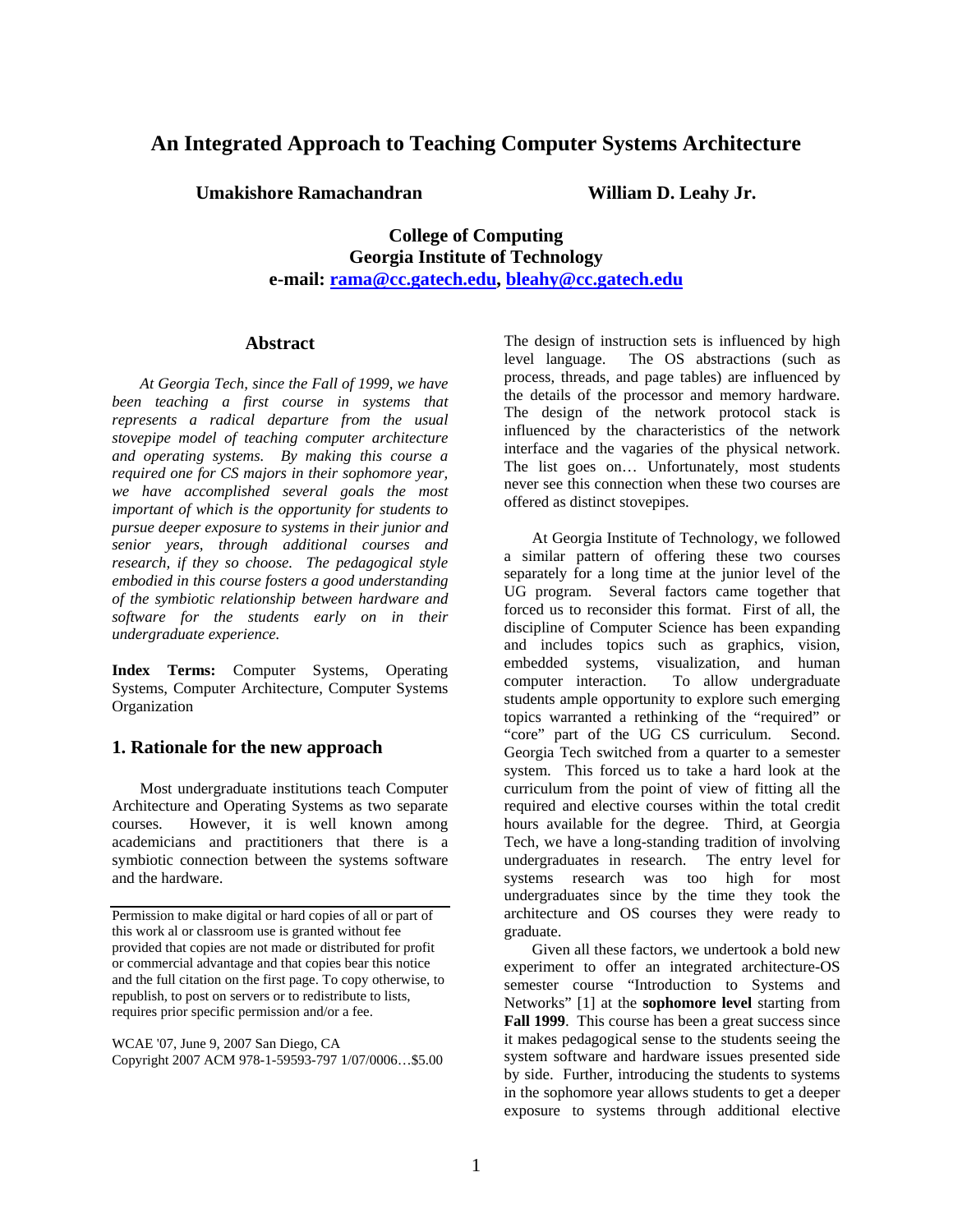# **An Integrated Approach to Teaching Computer Systems Architecture**

**Umakishore Ramachandran William D. Leahy Jr.** 

**College of Computing Georgia Institute of Technology e-mail: rama@cc.gatech.edu, bleahy@cc.gatech.edu**

#### **Abstract**

*At Georgia Tech, since the Fall of 1999, we have been teaching a first course in systems that represents a radical departure from the usual stovepipe model of teaching computer architecture and operating systems. By making this course a required one for CS majors in their sophomore year, we have accomplished several goals the most important of which is the opportunity for students to pursue deeper exposure to systems in their junior and senior years, through additional courses and research, if they so choose. The pedagogical style embodied in this course fosters a good understanding of the symbiotic relationship between hardware and software for the students early on in their undergraduate experience.* 

**Index Terms:** Computer Systems, Operating Systems, Computer Architecture, Computer Systems **Organization** 

#### **1. Rationale for the new approach**

Most undergraduate institutions teach Computer Architecture and Operating Systems as two separate courses. However, it is well known among academicians and practitioners that there is a symbiotic connection between the systems software and the hardware.

WCAE '07, June 9, 2007 San Diego, CA Copyright 2007 ACM 978-1-59593-797 1/07/0006…\$5.00 The design of instruction sets is influenced by high level language. The OS abstractions (such as process, threads, and page tables) are influenced by the details of the processor and memory hardware. The design of the network protocol stack is influenced by the characteristics of the network interface and the vagaries of the physical network. The list goes on… Unfortunately, most students never see this connection when these two courses are offered as distinct stovepipes.

At Georgia Institute of Technology, we followed a similar pattern of offering these two courses separately for a long time at the junior level of the UG program. Several factors came together that forced us to reconsider this format. First of all, the discipline of Computer Science has been expanding and includes topics such as graphics, vision, embedded systems, visualization, and human computer interaction. To allow undergraduate students ample opportunity to explore such emerging topics warranted a rethinking of the "required" or "core" part of the UG CS curriculum. Second. Georgia Tech switched from a quarter to a semester system. This forced us to take a hard look at the curriculum from the point of view of fitting all the required and elective courses within the total credit hours available for the degree. Third, at Georgia Tech, we have a long-standing tradition of involving undergraduates in research. The entry level for systems research was too high for most undergraduates since by the time they took the architecture and OS courses they were ready to graduate.

Given all these factors, we undertook a bold new experiment to offer an integrated architecture-OS semester course "Introduction to Systems and Networks" [1] at the **sophomore level** starting from **Fall 1999**. This course has been a great success since it makes pedagogical sense to the students seeing the system software and hardware issues presented side by side. Further, introducing the students to systems in the sophomore year allows students to get a deeper exposure to systems through additional elective

Permission to make digital or hard copies of all or part of this work al or classroom use is granted without fee provided that copies are not made or distributed for profit or commercial advantage and that copies bear this notice and the full citation on the first page. To copy otherwise, to republish, to post on servers or to redistribute to lists, requires prior specific permission and/or a fee.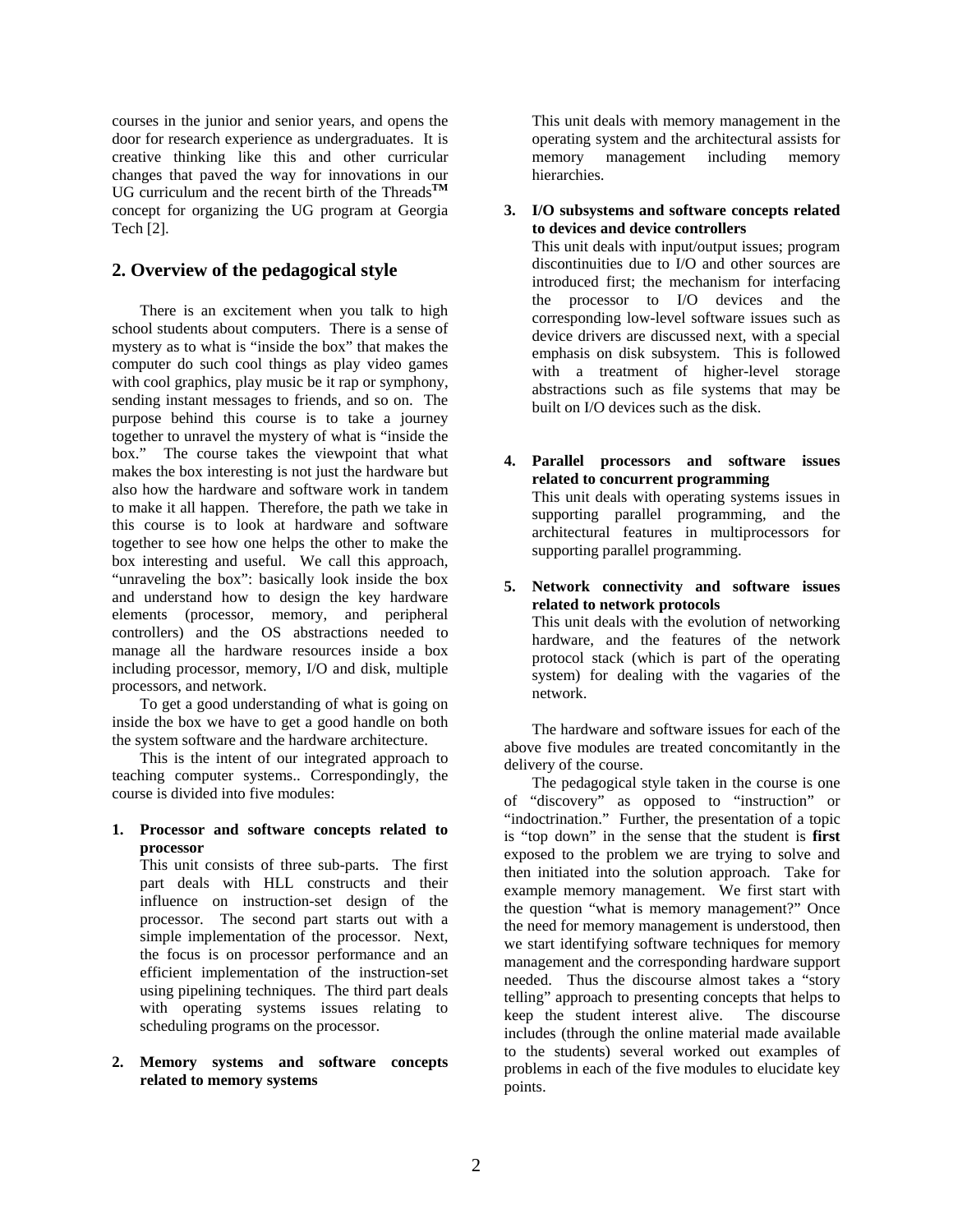courses in the junior and senior years, and opens the door for research experience as undergraduates. It is creative thinking like this and other curricular changes that paved the way for innovations in our UG curriculum and the recent birth of the Threads**TM** concept for organizing the UG program at Georgia Tech [2].

#### **2. Overview of the pedagogical style**

There is an excitement when you talk to high school students about computers. There is a sense of mystery as to what is "inside the box" that makes the computer do such cool things as play video games with cool graphics, play music be it rap or symphony, sending instant messages to friends, and so on. The purpose behind this course is to take a journey together to unravel the mystery of what is "inside the box." The course takes the viewpoint that what makes the box interesting is not just the hardware but also how the hardware and software work in tandem to make it all happen. Therefore, the path we take in this course is to look at hardware and software together to see how one helps the other to make the box interesting and useful. We call this approach, "unraveling the box": basically look inside the box and understand how to design the key hardware elements (processor, memory, and peripheral controllers) and the OS abstractions needed to manage all the hardware resources inside a box including processor, memory, I/O and disk, multiple processors, and network.

To get a good understanding of what is going on inside the box we have to get a good handle on both the system software and the hardware architecture.

This is the intent of our integrated approach to teaching computer systems.. Correspondingly, the course is divided into five modules:

#### **1. Processor and software concepts related to processor**

This unit consists of three sub-parts. The first part deals with HLL constructs and their influence on instruction-set design of the processor. The second part starts out with a simple implementation of the processor. Next, the focus is on processor performance and an efficient implementation of the instruction-set using pipelining techniques. The third part deals with operating systems issues relating to scheduling programs on the processor.

#### **2. Memory systems and software concepts related to memory systems**

This unit deals with memory management in the operating system and the architectural assists for memory management including memory hierarchies.

#### **3. I/O subsystems and software concepts related to devices and device controllers**

This unit deals with input/output issues; program discontinuities due to I/O and other sources are introduced first; the mechanism for interfacing the processor to I/O devices and the corresponding low-level software issues such as device drivers are discussed next, with a special emphasis on disk subsystem. This is followed with a treatment of higher-level storage abstractions such as file systems that may be built on I/O devices such as the disk.

**4. Parallel processors and software issues related to concurrent programming**  This unit deals with operating systems issues in supporting parallel programming, and the architectural features in multiprocessors for supporting parallel programming.

#### **5. Network connectivity and software issues related to network protocols**

This unit deals with the evolution of networking hardware, and the features of the network protocol stack (which is part of the operating system) for dealing with the vagaries of the network.

The hardware and software issues for each of the above five modules are treated concomitantly in the delivery of the course.

The pedagogical style taken in the course is one of "discovery" as opposed to "instruction" or "indoctrination." Further, the presentation of a topic is "top down" in the sense that the student is **first** exposed to the problem we are trying to solve and then initiated into the solution approach. Take for example memory management. We first start with the question "what is memory management?" Once the need for memory management is understood, then we start identifying software techniques for memory management and the corresponding hardware support needed. Thus the discourse almost takes a "story telling" approach to presenting concepts that helps to keep the student interest alive. The discourse includes (through the online material made available to the students) several worked out examples of problems in each of the five modules to elucidate key points.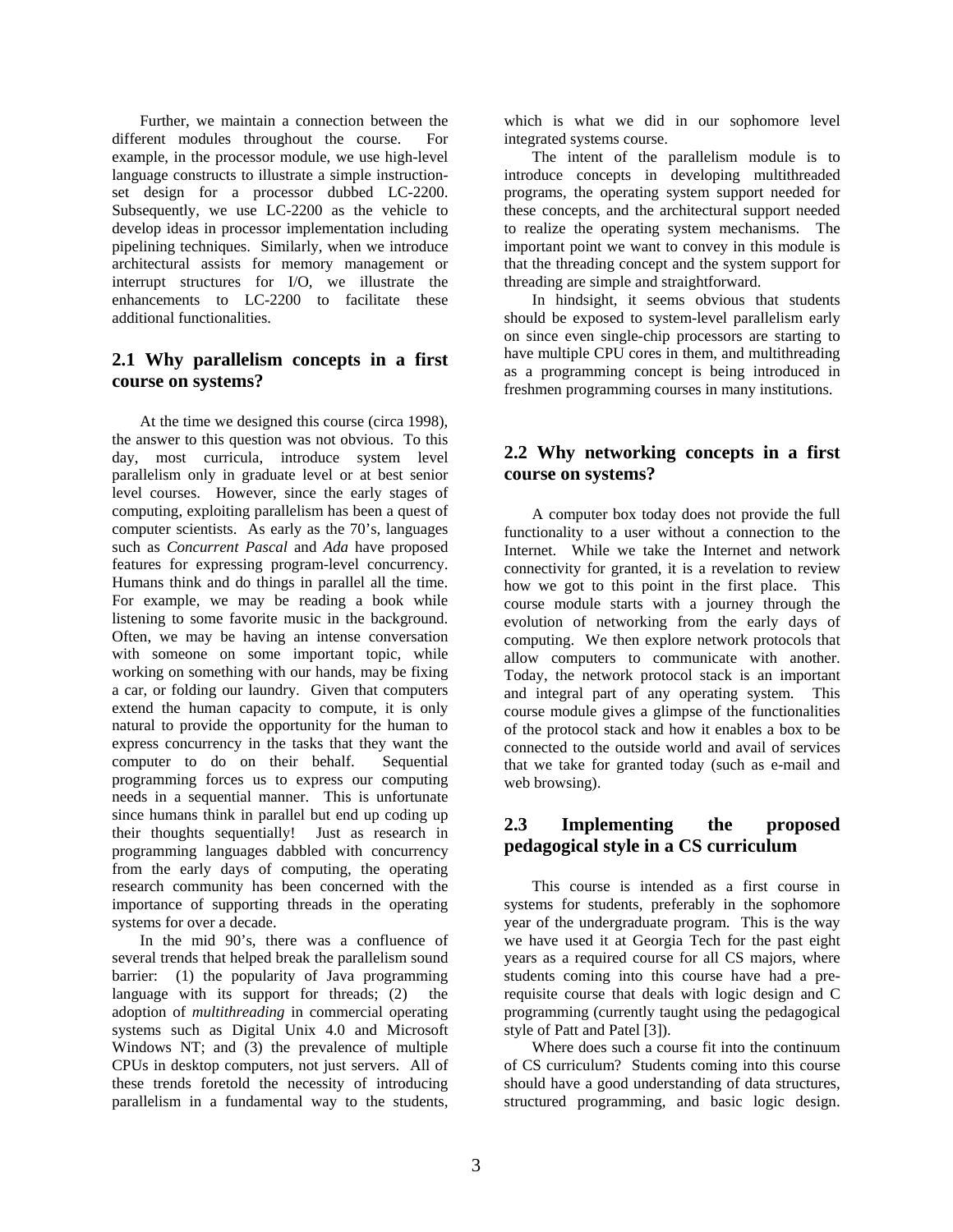Further, we maintain a connection between the different modules throughout the course. For example, in the processor module, we use high-level language constructs to illustrate a simple instructionset design for a processor dubbed LC-2200. Subsequently, we use LC-2200 as the vehicle to develop ideas in processor implementation including pipelining techniques. Similarly, when we introduce architectural assists for memory management or interrupt structures for I/O, we illustrate the enhancements to LC-2200 to facilitate these additional functionalities.

### **2.1 Why parallelism concepts in a first course on systems?**

At the time we designed this course (circa 1998), the answer to this question was not obvious. To this day, most curricula, introduce system level parallelism only in graduate level or at best senior level courses. However, since the early stages of computing, exploiting parallelism has been a quest of computer scientists. As early as the 70's, languages such as *Concurrent Pascal* and *Ada* have proposed features for expressing program-level concurrency. Humans think and do things in parallel all the time. For example, we may be reading a book while listening to some favorite music in the background. Often, we may be having an intense conversation with someone on some important topic, while working on something with our hands, may be fixing a car, or folding our laundry. Given that computers extend the human capacity to compute, it is only natural to provide the opportunity for the human to express concurrency in the tasks that they want the computer to do on their behalf. Sequential programming forces us to express our computing needs in a sequential manner. This is unfortunate since humans think in parallel but end up coding up their thoughts sequentially! Just as research in programming languages dabbled with concurrency from the early days of computing, the operating research community has been concerned with the importance of supporting threads in the operating systems for over a decade.

In the mid 90's, there was a confluence of several trends that helped break the parallelism sound barrier: (1) the popularity of Java programming language with its support for threads; (2) the adoption of *multithreading* in commercial operating systems such as Digital Unix 4.0 and Microsoft Windows NT; and (3) the prevalence of multiple CPUs in desktop computers, not just servers. All of these trends foretold the necessity of introducing parallelism in a fundamental way to the students,

which is what we did in our sophomore level integrated systems course.

The intent of the parallelism module is to introduce concepts in developing multithreaded programs, the operating system support needed for these concepts, and the architectural support needed to realize the operating system mechanisms. The important point we want to convey in this module is that the threading concept and the system support for threading are simple and straightforward.

In hindsight, it seems obvious that students should be exposed to system-level parallelism early on since even single-chip processors are starting to have multiple CPU cores in them, and multithreading as a programming concept is being introduced in freshmen programming courses in many institutions.

# **2.2 Why networking concepts in a first course on systems?**

A computer box today does not provide the full functionality to a user without a connection to the Internet. While we take the Internet and network connectivity for granted, it is a revelation to review how we got to this point in the first place. This course module starts with a journey through the evolution of networking from the early days of computing. We then explore network protocols that allow computers to communicate with another. Today, the network protocol stack is an important and integral part of any operating system. This course module gives a glimpse of the functionalities of the protocol stack and how it enables a box to be connected to the outside world and avail of services that we take for granted today (such as e-mail and web browsing).

## **2.3 Implementing the proposed pedagogical style in a CS curriculum**

This course is intended as a first course in systems for students, preferably in the sophomore year of the undergraduate program. This is the way we have used it at Georgia Tech for the past eight years as a required course for all CS majors, where students coming into this course have had a prerequisite course that deals with logic design and C programming (currently taught using the pedagogical style of Patt and Patel [3]).

Where does such a course fit into the continuum of CS curriculum? Students coming into this course should have a good understanding of data structures, structured programming, and basic logic design.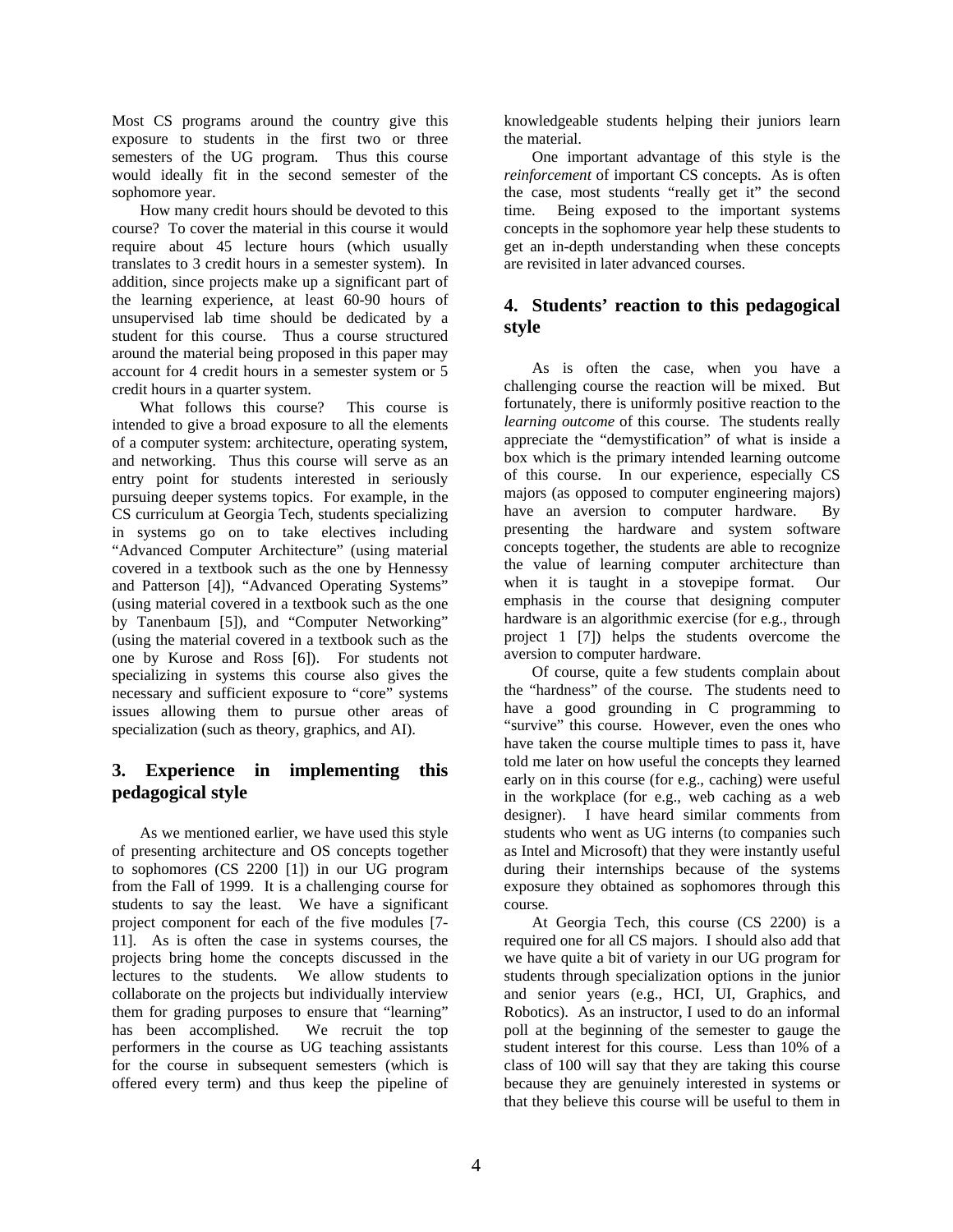Most CS programs around the country give this exposure to students in the first two or three semesters of the UG program. Thus this course would ideally fit in the second semester of the sophomore year.

How many credit hours should be devoted to this course? To cover the material in this course it would require about 45 lecture hours (which usually translates to 3 credit hours in a semester system). In addition, since projects make up a significant part of the learning experience, at least 60-90 hours of unsupervised lab time should be dedicated by a student for this course. Thus a course structured around the material being proposed in this paper may account for 4 credit hours in a semester system or 5 credit hours in a quarter system.

What follows this course? This course is intended to give a broad exposure to all the elements of a computer system: architecture, operating system, and networking. Thus this course will serve as an entry point for students interested in seriously pursuing deeper systems topics. For example, in the CS curriculum at Georgia Tech, students specializing in systems go on to take electives including "Advanced Computer Architecture" (using material covered in a textbook such as the one by Hennessy and Patterson [4]), "Advanced Operating Systems" (using material covered in a textbook such as the one by Tanenbaum [5]), and "Computer Networking" (using the material covered in a textbook such as the one by Kurose and Ross [6]). For students not specializing in systems this course also gives the necessary and sufficient exposure to "core" systems issues allowing them to pursue other areas of specialization (such as theory, graphics, and AI).

## **3. Experience in implementing this pedagogical style**

As we mentioned earlier, we have used this style of presenting architecture and OS concepts together to sophomores (CS 2200 [1]) in our UG program from the Fall of 1999. It is a challenging course for students to say the least. We have a significant project component for each of the five modules [7- 11]. As is often the case in systems courses, the projects bring home the concepts discussed in the lectures to the students. We allow students to collaborate on the projects but individually interview them for grading purposes to ensure that "learning" has been accomplished. We recruit the top has been accomplished. performers in the course as UG teaching assistants for the course in subsequent semesters (which is offered every term) and thus keep the pipeline of

knowledgeable students helping their juniors learn the material.

One important advantage of this style is the *reinforcement* of important CS concepts. As is often the case, most students "really get it" the second time. Being exposed to the important systems concepts in the sophomore year help these students to get an in-depth understanding when these concepts are revisited in later advanced courses.

# **4. Students' reaction to this pedagogical style**

As is often the case, when you have a challenging course the reaction will be mixed. But fortunately, there is uniformly positive reaction to the *learning outcome* of this course. The students really appreciate the "demystification" of what is inside a box which is the primary intended learning outcome of this course. In our experience, especially CS majors (as opposed to computer engineering majors) have an aversion to computer hardware. By presenting the hardware and system software concepts together, the students are able to recognize the value of learning computer architecture than when it is taught in a stovepipe format. Our emphasis in the course that designing computer hardware is an algorithmic exercise (for e.g., through project 1 [7]) helps the students overcome the aversion to computer hardware.

Of course, quite a few students complain about the "hardness" of the course. The students need to have a good grounding in C programming to "survive" this course. However, even the ones who have taken the course multiple times to pass it, have told me later on how useful the concepts they learned early on in this course (for e.g., caching) were useful in the workplace (for e.g., web caching as a web designer). I have heard similar comments from students who went as UG interns (to companies such as Intel and Microsoft) that they were instantly useful during their internships because of the systems exposure they obtained as sophomores through this course.

At Georgia Tech, this course (CS 2200) is a required one for all CS majors. I should also add that we have quite a bit of variety in our UG program for students through specialization options in the junior and senior years (e.g., HCI, UI, Graphics, and Robotics). As an instructor, I used to do an informal poll at the beginning of the semester to gauge the student interest for this course. Less than 10% of a class of 100 will say that they are taking this course because they are genuinely interested in systems or that they believe this course will be useful to them in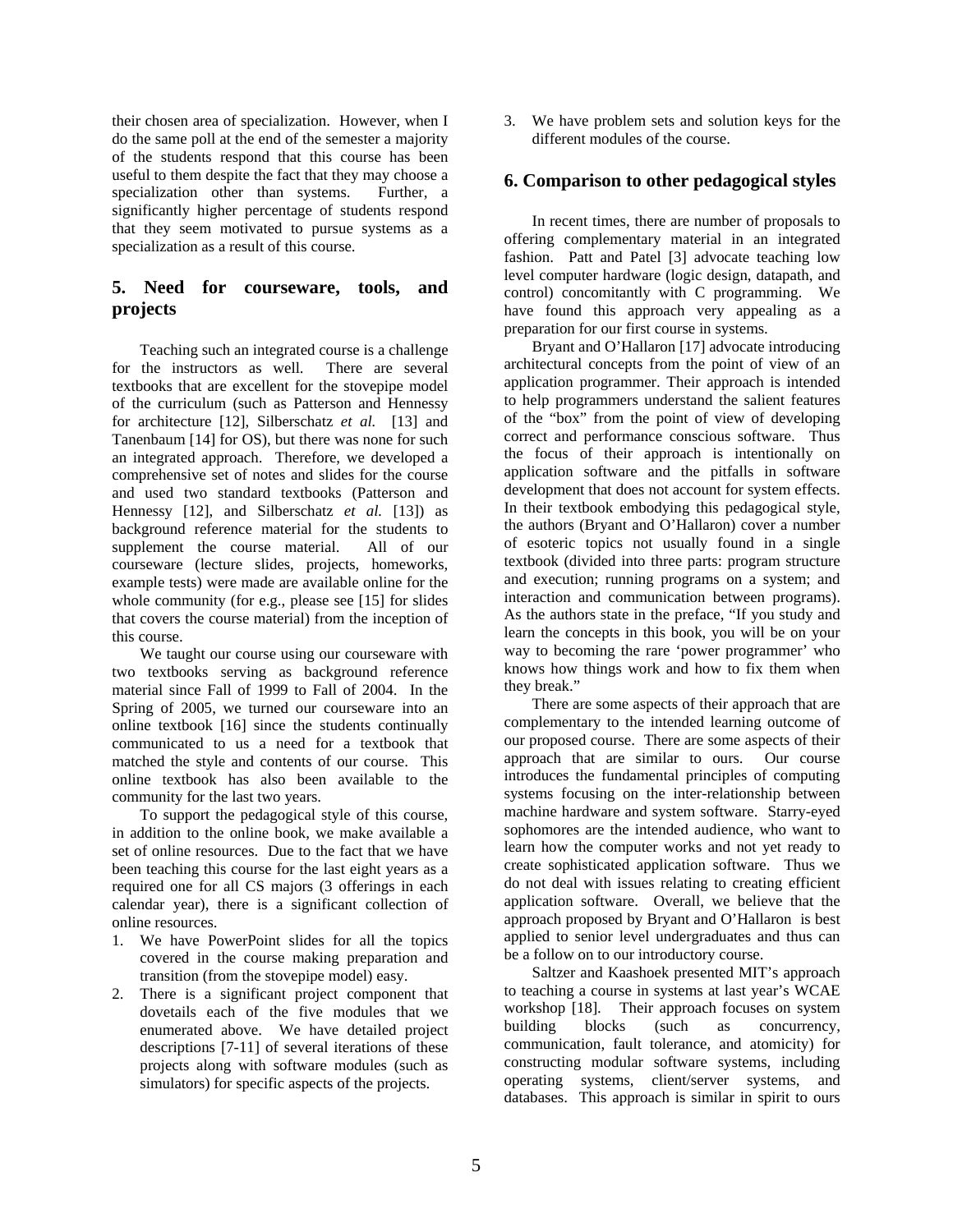their chosen area of specialization. However, when I do the same poll at the end of the semester a majority of the students respond that this course has been useful to them despite the fact that they may choose a specialization other than systems. Further, a significantly higher percentage of students respond that they seem motivated to pursue systems as a specialization as a result of this course.

# **5. Need for courseware, tools, and projects**

Teaching such an integrated course is a challenge for the instructors as well. There are several textbooks that are excellent for the stovepipe model of the curriculum (such as Patterson and Hennessy for architecture [12], Silberschatz *et al.* [13] and Tanenbaum [14] for OS), but there was none for such an integrated approach. Therefore, we developed a comprehensive set of notes and slides for the course and used two standard textbooks (Patterson and Hennessy [12], and Silberschatz *et al.* [13]) as background reference material for the students to supplement the course material. All of our courseware (lecture slides, projects, homeworks, example tests) were made are available online for the whole community (for e.g., please see [15] for slides that covers the course material) from the inception of this course.

We taught our course using our courseware with two textbooks serving as background reference material since Fall of 1999 to Fall of 2004. In the Spring of 2005, we turned our courseware into an online textbook [16] since the students continually communicated to us a need for a textbook that matched the style and contents of our course. This online textbook has also been available to the community for the last two years.

To support the pedagogical style of this course, in addition to the online book, we make available a set of online resources. Due to the fact that we have been teaching this course for the last eight years as a required one for all CS majors (3 offerings in each calendar year), there is a significant collection of online resources.

- 1. We have PowerPoint slides for all the topics covered in the course making preparation and transition (from the stovepipe model) easy.
- 2. There is a significant project component that dovetails each of the five modules that we enumerated above. We have detailed project descriptions [7-11] of several iterations of these projects along with software modules (such as simulators) for specific aspects of the projects.

3. We have problem sets and solution keys for the different modules of the course.

#### **6. Comparison to other pedagogical styles**

In recent times, there are number of proposals to offering complementary material in an integrated fashion. Patt and Patel [3] advocate teaching low level computer hardware (logic design, datapath, and control) concomitantly with C programming. We have found this approach very appealing as a preparation for our first course in systems.

Bryant and O'Hallaron [17] advocate introducing architectural concepts from the point of view of an application programmer. Their approach is intended to help programmers understand the salient features of the "box" from the point of view of developing correct and performance conscious software. Thus the focus of their approach is intentionally on application software and the pitfalls in software development that does not account for system effects. In their textbook embodying this pedagogical style, the authors (Bryant and O'Hallaron) cover a number of esoteric topics not usually found in a single textbook (divided into three parts: program structure and execution; running programs on a system; and interaction and communication between programs). As the authors state in the preface, "If you study and learn the concepts in this book, you will be on your way to becoming the rare 'power programmer' who knows how things work and how to fix them when they break."

There are some aspects of their approach that are complementary to the intended learning outcome of our proposed course. There are some aspects of their approach that are similar to ours. Our course introduces the fundamental principles of computing systems focusing on the inter-relationship between machine hardware and system software. Starry-eyed sophomores are the intended audience, who want to learn how the computer works and not yet ready to create sophisticated application software. Thus we do not deal with issues relating to creating efficient application software. Overall, we believe that the approach proposed by Bryant and O'Hallaron is best applied to senior level undergraduates and thus can be a follow on to our introductory course.

Saltzer and Kaashoek presented MIT's approach to teaching a course in systems at last year's WCAE workshop [18]. Their approach focuses on system building blocks (such as concurrency, communication, fault tolerance, and atomicity) for constructing modular software systems, including operating systems, client/server systems, and databases. This approach is similar in spirit to ours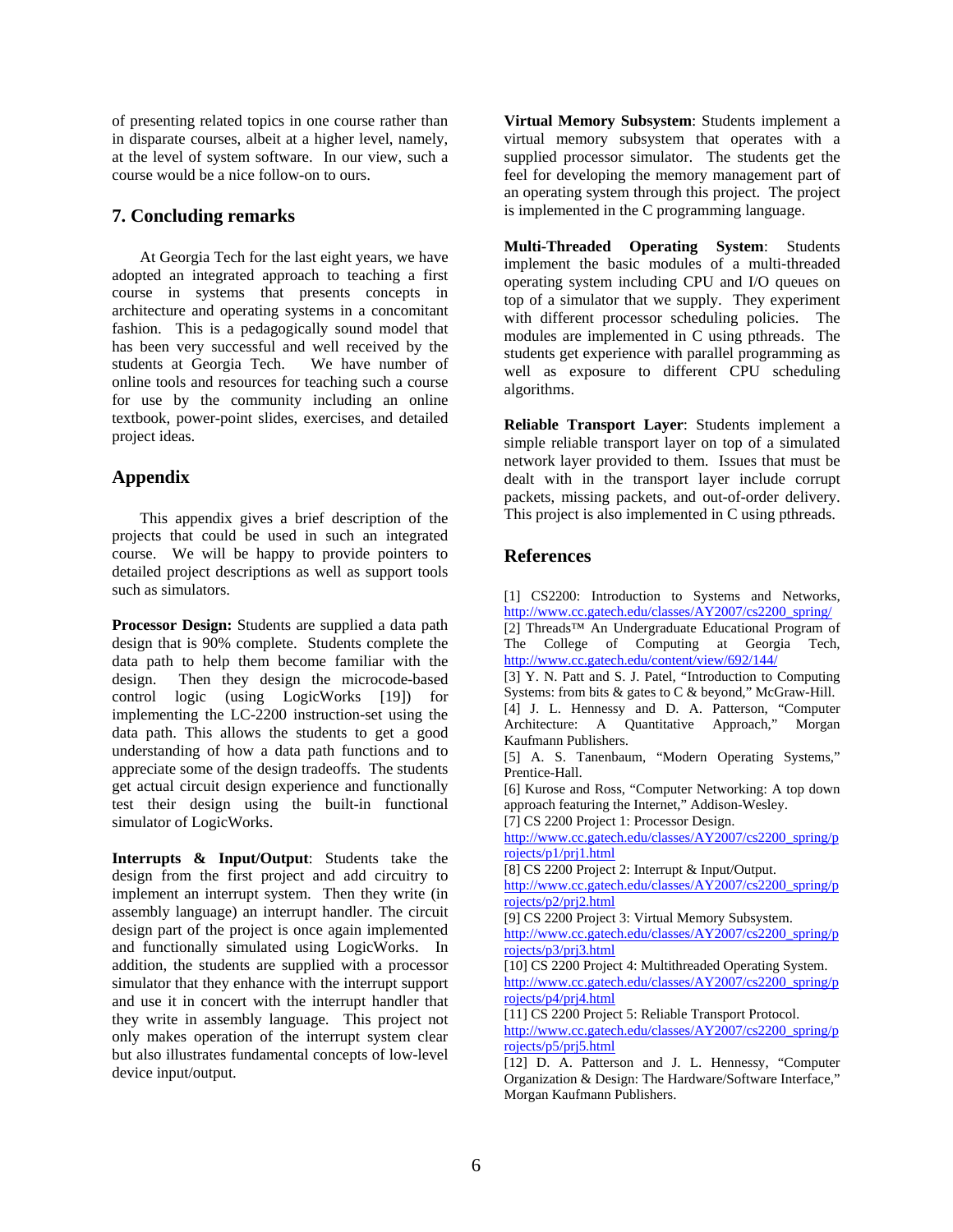of presenting related topics in one course rather than in disparate courses, albeit at a higher level, namely, at the level of system software. In our view, such a course would be a nice follow-on to ours.

#### **7. Concluding remarks**

At Georgia Tech for the last eight years, we have adopted an integrated approach to teaching a first course in systems that presents concepts in architecture and operating systems in a concomitant fashion. This is a pedagogically sound model that has been very successful and well received by the students at Georgia Tech. We have number of online tools and resources for teaching such a course for use by the community including an online textbook, power-point slides, exercises, and detailed project ideas.

## **Appendix**

This appendix gives a brief description of the projects that could be used in such an integrated course. We will be happy to provide pointers to detailed project descriptions as well as support tools such as simulators.

**Processor Design:** Students are supplied a data path design that is 90% complete. Students complete the data path to help them become familiar with the design. Then they design the microcode-based control logic (using LogicWorks [19]) for implementing the LC-2200 instruction-set using the data path. This allows the students to get a good understanding of how a data path functions and to appreciate some of the design tradeoffs. The students get actual circuit design experience and functionally test their design using the built-in functional simulator of LogicWorks.

**Interrupts & Input/Output**: Students take the design from the first project and add circuitry to implement an interrupt system. Then they write (in assembly language) an interrupt handler. The circuit design part of the project is once again implemented and functionally simulated using LogicWorks. In addition, the students are supplied with a processor simulator that they enhance with the interrupt support and use it in concert with the interrupt handler that they write in assembly language. This project not only makes operation of the interrupt system clear but also illustrates fundamental concepts of low-level device input/output.

**Virtual Memory Subsystem**: Students implement a virtual memory subsystem that operates with a supplied processor simulator. The students get the feel for developing the memory management part of an operating system through this project. The project is implemented in the C programming language.

**Multi-Threaded Operating System**: Students implement the basic modules of a multi-threaded operating system including CPU and I/O queues on top of a simulator that we supply. They experiment with different processor scheduling policies. The modules are implemented in C using pthreads. The students get experience with parallel programming as well as exposure to different CPU scheduling algorithms.

**Reliable Transport Layer**: Students implement a simple reliable transport layer on top of a simulated network layer provided to them. Issues that must be dealt with in the transport layer include corrupt packets, missing packets, and out-of-order delivery. This project is also implemented in C using pthreads.

# **References**

[1] CS2200: Introduction to Systems and Networks, http://www.cc.gatech.edu/classes/AY2007/cs2200\_spring/ [2] Threads™ An Undergraduate Educational Program of The College of Computing at Georgia Tech, http://www.cc.gatech.edu/content/view/692/144/ [3] Y. N. Patt and S. J. Patel, "Introduction to Computing Systems: from bits & gates to C & beyond," McGraw-Hill. [4] J. L. Hennessy and D. A. Patterson, "Computer Architecture: A Quantitative Approach," Morgan Kaufmann Publishers. [5] A. S. Tanenbaum, "Modern Operating Systems," Prentice-Hall. [6] Kurose and Ross, "Computer Networking: A top down approach featuring the Internet," Addison-Wesley. [7] CS 2200 Project 1: Processor Design. http://www.cc.gatech.edu/classes/AY2007/cs2200\_spring/p rojects/p1/prj1.html [8] CS 2200 Project 2: Interrupt & Input/Output. http://www.cc.gatech.edu/classes/AY2007/cs2200\_spring/p rojects/p2/prj2.html [9] CS 2200 Project 3: Virtual Memory Subsystem. http://www.cc.gatech.edu/classes/AY2007/cs2200\_spring/p rojects/p3/prj3.html [10] CS 2200 Project 4: Multithreaded Operating System. http://www.cc.gatech.edu/classes/AY2007/cs2200\_spring/p rojects/p4/prj4.html [11] CS 2200 Project 5: Reliable Transport Protocol. http://www.cc.gatech.edu/classes/AY2007/cs2200\_spring/p rojects/p5/prj5.html [12] D. A. Patterson and J. L. Hennessy, "Computer Organization & Design: The Hardware/Software Interface," Morgan Kaufmann Publishers.